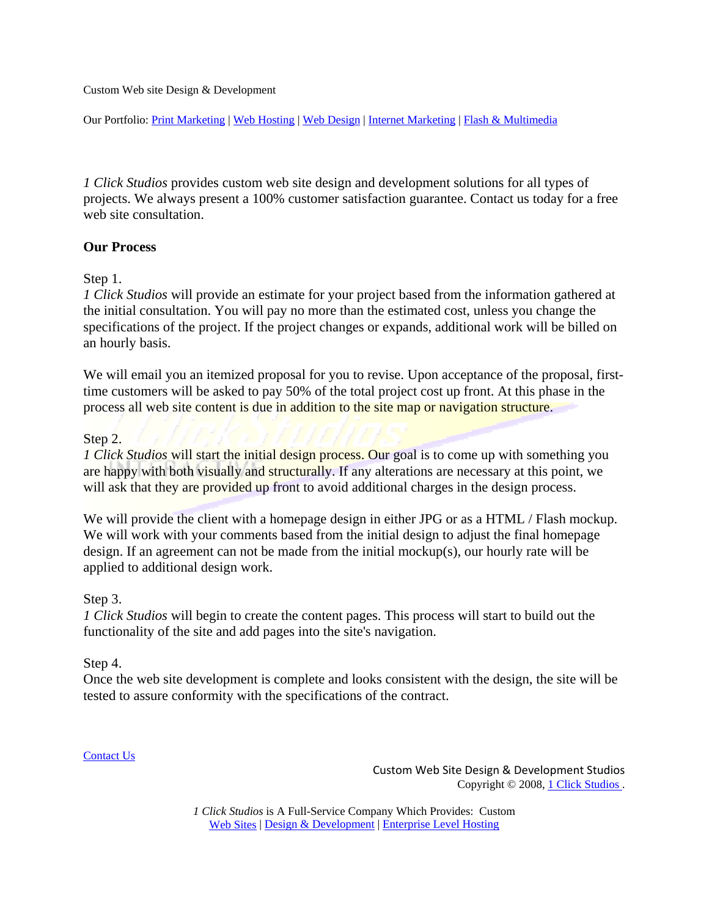Custom Web site Design & Development

Our Portfolio: [Print Marketing](http://www.1clickstudios.com/print.html) | [Web Hosting](http://www.1clickstudios.com/hosting.html) | [Web Design](http://www.1clickstudios.com/web.html) | [Internet Marketing](http://www.1clickstudios.com/internet.html) | [Flash & Multimedia](http://www.1clickstudios.com/multimedia.html)

*1 Click Studios* provides custom web site design and development solutions for all types of projects. We always present a 100% customer satisfaction guarantee. Contact us today for a free web site consultation.

#### **Our Process**

# Step 1.

*1 Click Studios* will provide an estimate for your project based from the information gathered at the initial consultation. You will pay no more than the estimated cost, unless you change the specifications of the project. If the project changes or expands, additional work will be billed on an hourly basis.

We will email you an itemized proposal for you to revise. Upon acceptance of the proposal, firsttime customers will be asked to pay 50% of the total project cost up front. At this phase in the process all web site content is due in addition to the site map or navigation structure.

# Step 2.

*1 Click Studios* will start the initial design process. Our goal is to come up with something you are happy with both visually and structurally. If any alterations are necessary at this point, we will ask that they are provided up front to avoid additional charges in the design process.

We will provide the client with a homepage design in either JPG or as a HTML / Flash mockup. We will work with your comments based from the initial design to adjust the final homepage design. If an agreement can not be made from the initial mockup(s), our hourly rate will be applied to additional design work.

# Step 3.

*1 Click Studios* will begin to create the content pages. This process will start to build out the functionality of the site and add pages into the site's navigation.

# Step 4.

Once the web site development is complete and looks consistent with the design, the site will be tested to assure conformity with the specifications of the contract.

#### [Contact Us](http://www.alohacomputersolutions.com/contact.html)

Custom Web Site Design & Development Studios Copyright © 2008, [1 Click Studios .](http://www.1clickstudios.com/index.html)

*1 Click Studios* is A Full-Service Company Which Provides: Custom [Web Sites](http://www.1clickstudios.com/web.html) | [Design & Development](http://www.1clickstudios.com/multimedia.html) | Enterprise Level Hosting